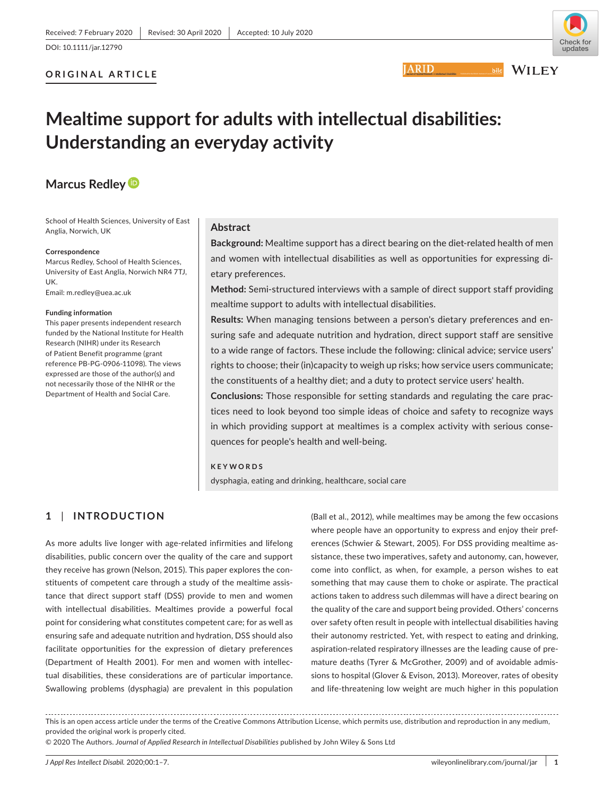**ORIGINAL ARTICLE**



**ARID** 

**WILEY** 

bild

# **Mealtime support for adults with intellectual disabilities: Understanding an everyday activity**

# **Marcus Redley**

School of Health Sciences, University of East Anglia, Norwich, UK

#### **Correspondence**

Marcus Redley, School of Health Sciences, University of East Anglia, Norwich NR4 7TJ, UK. Email: [m.redley@uea.ac.uk](mailto:m.redley@uea.ac.uk)

#### **Funding information**

This paper presents independent research funded by the National Institute for Health Research (NIHR) under its Research of Patient Benefit programme (grant reference PB-PG-0906-11098). The views expressed are those of the author(s) and not necessarily those of the NIHR or the Department of Health and Social Care.

#### **Abstract**

**Background:** Mealtime support has a direct bearing on the diet-related health of men and women with intellectual disabilities as well as opportunities for expressing dietary preferences.

**Method:** Semi-structured interviews with a sample of direct support staff providing mealtime support to adults with intellectual disabilities.

**Results:** When managing tensions between a person's dietary preferences and ensuring safe and adequate nutrition and hydration, direct support staff are sensitive to a wide range of factors. These include the following: clinical advice; service users' rights to choose; their (in)capacity to weigh up risks; how service users communicate; the constituents of a healthy diet; and a duty to protect service users' health.

**Conclusions:** Those responsible for setting standards and regulating the care practices need to look beyond too simple ideas of choice and safety to recognize ways in which providing support at mealtimes is a complex activity with serious consequences for people's health and well-being.

#### **KEYWORDS**

dysphagia, eating and drinking, healthcare, social care

# **1** | **INTRODUCTION**

As more adults live longer with age-related infirmities and lifelong disabilities, public concern over the quality of the care and support they receive has grown (Nelson, 2015). This paper explores the constituents of competent care through a study of the mealtime assistance that direct support staff (DSS) provide to men and women with intellectual disabilities. Mealtimes provide a powerful focal point for considering what constitutes competent care; for as well as ensuring safe and adequate nutrition and hydration, DSS should also facilitate opportunities for the expression of dietary preferences (Department of Health 2001). For men and women with intellectual disabilities, these considerations are of particular importance. Swallowing problems (dysphagia) are prevalent in this population

(Ball et al., 2012), while mealtimes may be among the few occasions where people have an opportunity to express and enjoy their preferences (Schwier & Stewart, 2005). For DSS providing mealtime assistance, these two imperatives, safety and autonomy, can, however, come into conflict, as when, for example, a person wishes to eat something that may cause them to choke or aspirate. The practical actions taken to address such dilemmas will have a direct bearing on the quality of the care and support being provided. Others' concerns over safety often result in people with intellectual disabilities having their autonomy restricted. Yet, with respect to eating and drinking, aspiration-related respiratory illnesses are the leading cause of premature deaths (Tyrer & McGrother, 2009) and of avoidable admissions to hospital (Glover & Evison, 2013). Moreover, rates of obesity and life-threatening low weight are much higher in this population

This is an open access article under the terms of the [Creative Commons Attribution](http://creativecommons.org/licenses/by/4.0/) License, which permits use, distribution and reproduction in any medium, provided the original work is properly cited.

© 2020 The Authors. *Journal of Applied Research in Intellectual Disabilities* published by John Wiley & Sons Ltd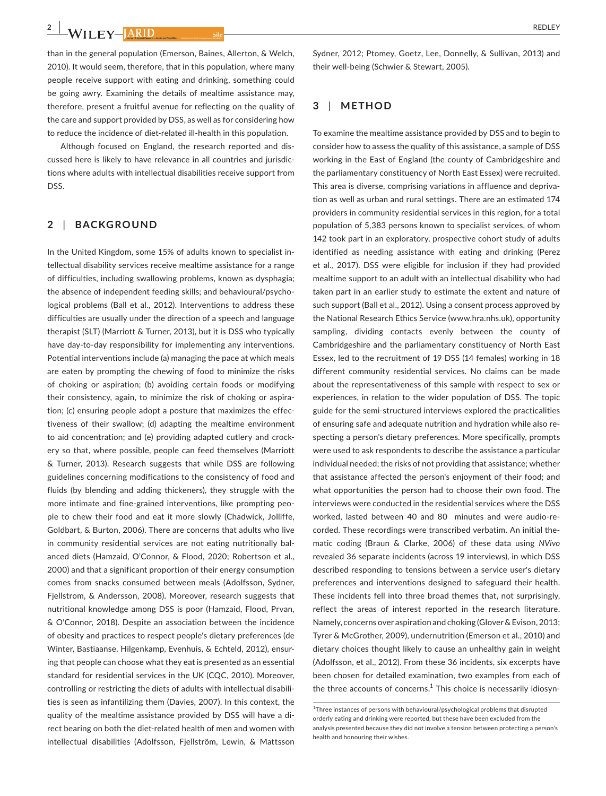**2 WILEY-HARID** 

than in the general population (Emerson, Baines, Allerton, & Welch, 2010). It would seem, therefore, that in this population, where many people receive support with eating and drinking, something could be going awry. Examining the details of mealtime assistance may, therefore, present a fruitful avenue for reflecting on the quality of the care and support provided by DSS, as well as for considering how to reduce the incidence of diet-related ill-health in this population.

Although focused on England, the research reported and discussed here is likely to have relevance in all countries and jurisdictions where adults with intellectual disabilities receive support from DSS.

#### **2** | **BACKGROUND**

In the United Kingdom, some 15% of adults known to specialist intellectual disability services receive mealtime assistance for a range of difficulties, including swallowing problems, known as dysphagia; the absence of independent feeding skills; and behavioural/psychological problems (Ball et al., 2012). Interventions to address these difficulties are usually under the direction of a speech and language therapist (SLT) (Marriott & Turner, 2013), but it is DSS who typically have day-to-day responsibility for implementing any interventions. Potential interventions include (a) managing the pace at which meals are eaten by prompting the chewing of food to minimize the risks of choking or aspiration; (b) avoiding certain foods or modifying their consistency, again, to minimize the risk of choking or aspiration; (c) ensuring people adopt a posture that maximizes the effectiveness of their swallow; (d) adapting the mealtime environment to aid concentration; and (e) providing adapted cutlery and crockery so that, where possible, people can feed themselves (Marriott & Turner, 2013). Research suggests that while DSS are following guidelines concerning modifications to the consistency of food and fluids (by blending and adding thickeners), they struggle with the more intimate and fine-grained interventions, like prompting people to chew their food and eat it more slowly (Chadwick, Jolliffe, Goldbart, & Burton, 2006). There are concerns that adults who live in community residential services are not eating nutritionally balanced diets (Hamzaid, O'Connor, & Flood, 2020; Robertson et al., 2000) and that a significant proportion of their energy consumption comes from snacks consumed between meals (Adolfsson, Sydner, Fjellstrom, & Andersson, 2008). Moreover, research suggests that nutritional knowledge among DSS is poor (Hamzaid, Flood, Prvan, & O'Connor, 2018). Despite an association between the incidence of obesity and practices to respect people's dietary preferences (de Winter, Bastiaanse, Hilgenkamp, Evenhuis, & Echteld, 2012), ensuring that people can choose what they eat is presented as an essential standard for residential services in the UK (CQC, 2010). Moreover, controlling or restricting the diets of adults with intellectual disabilities is seen as infantilizing them (Davies, 2007). In this context, the quality of the mealtime assistance provided by DSS will have a direct bearing on both the diet-related health of men and women with intellectual disabilities (Adolfsson, Fjellström, Lewin, & Mattsson

Sydner, 2012; Ptomey, Goetz, Lee, Donnelly, & Sullivan, 2013) and their well-being (Schwier & Stewart, 2005).

#### **3** | **METHOD**

To examine the mealtime assistance provided by DSS and to begin to consider how to assess the quality of this assistance, a sample of DSS working in the East of England (the county of Cambridgeshire and the parliamentary constituency of North East Essex) were recruited. This area is diverse, comprising variations in affluence and deprivation as well as urban and rural settings. There are an estimated 174 providers in community residential services in this region, for a total population of 5,383 persons known to specialist services, of whom 142 took part in an exploratory, prospective cohort study of adults identified as needing assistance with eating and drinking (Perez et al., 2017). DSS were eligible for inclusion if they had provided mealtime support to an adult with an intellectual disability who had taken part in an earlier study to estimate the extent and nature of such support (Ball et al., 2012). Using a consent process approved by the National Research Ethics Service ([www.hra.nhs.uk](http://www.hra.nhs.uk)), opportunity sampling, dividing contacts evenly between the county of Cambridgeshire and the parliamentary constituency of North East Essex, led to the recruitment of 19 DSS (14 females) working in 18 different community residential services. No claims can be made about the representativeness of this sample with respect to sex or experiences, in relation to the wider population of DSS. The topic guide for the semi-structured interviews explored the practicalities of ensuring safe and adequate nutrition and hydration while also respecting a person's dietary preferences. More specifically, prompts were used to ask respondents to describe the assistance a particular individual needed; the risks of not providing that assistance; whether that assistance affected the person's enjoyment of their food; and what opportunities the person had to choose their own food. The interviews were conducted in the residential services where the DSS worked, lasted between 40 and 80 minutes and were audio-recorded. These recordings were transcribed verbatim. An initial thematic coding (Braun & Clarke, 2006) of these data using *NVivo* revealed 36 separate incidents (across 19 interviews), in which DSS described responding to tensions between a service user's dietary preferences and interventions designed to safeguard their health. These incidents fell into three broad themes that, not surprisingly, reflect the areas of interest reported in the research literature. Namely, concerns over aspiration and choking (Glover & Evison, 2013; Tyrer & McGrother, 2009), undernutrition (Emerson et al., 2010) and dietary choices thought likely to cause an unhealthy gain in weight (Adolfsson, et al., 2012). From these 36 incidents, six excerpts have been chosen for detailed examination, two examples from each of the three accounts of concerns. $^1$  This choice is necessarily idiosyn-

<sup>&</sup>lt;sup>1</sup>Three instances of persons with behavioural/psychological problems that disrupted orderly eating and drinking were reported, but these have been excluded from the analysis presented because they did not involve a tension between protecting a person's health and honouring their wishes.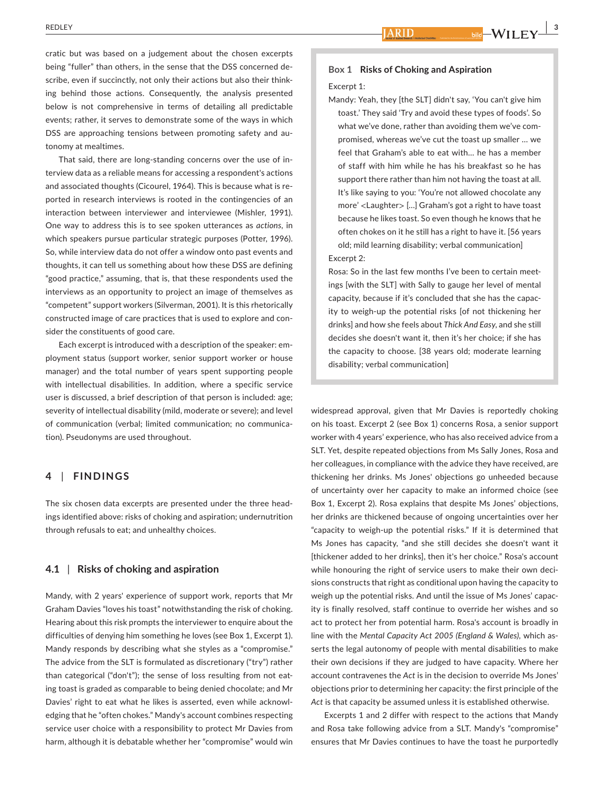**ARID** 

# $\frac{1}{\sqrt{2}}$  bild  $\frac{1}{\sqrt{2}}$  WILEY  $\frac{1}{\sqrt{2}}$

cratic but was based on a judgement about the chosen excerpts being "fuller" than others, in the sense that the DSS concerned describe, even if succinctly, not only their actions but also their thinking behind those actions. Consequently, the analysis presented below is not comprehensive in terms of detailing all predictable events; rather, it serves to demonstrate some of the ways in which DSS are approaching tensions between promoting safety and autonomy at mealtimes.

That said, there are long-standing concerns over the use of interview data as a reliable means for accessing a respondent's actions and associated thoughts (Cicourel, 1964). This is because what is reported in research interviews is rooted in the contingencies of an interaction between interviewer and interviewee (Mishler, 1991). One way to address this is to see spoken utterances as *actions*, in which speakers pursue particular strategic purposes (Potter, 1996). So, while interview data do not offer a window onto past events and thoughts, it can tell us something about how these DSS are defining "good practice," assuming, that is, that these respondents used the interviews as an opportunity to project an image of themselves as "competent" support workers (Silverman, 2001). It is this rhetorically constructed image of care practices that is used to explore and consider the constituents of good care.

Each excerpt is introduced with a description of the speaker: employment status (support worker, senior support worker or house manager) and the total number of years spent supporting people with intellectual disabilities. In addition, where a specific service user is discussed, a brief description of that person is included: age; severity of intellectual disability (mild, moderate or severe); and level of communication (verbal; limited communication; no communication). Pseudonyms are used throughout.

#### **4** | **FINDINGS**

The six chosen data excerpts are presented under the three headings identified above: risks of choking and aspiration; undernutrition through refusals to eat; and unhealthy choices.

#### **4.1** | **Risks of choking and aspiration**

Mandy, with 2 years' experience of support work, reports that Mr Graham Davies "loves his toast" notwithstanding the risk of choking. Hearing about this risk prompts the interviewer to enquire about the difficulties of denying him something he loves (see Box 1, Excerpt 1). Mandy responds by describing what she styles as a "compromise." The advice from the SLT is formulated as discretionary ("try") rather than categorical ("don't"); the sense of loss resulting from not eating toast is graded as comparable to being denied chocolate; and Mr Davies' right to eat what he likes is asserted, even while acknowledging that he "often chokes." Mandy's account combines respecting service user choice with a responsibility to protect Mr Davies from harm, although it is debatable whether her "compromise" would win

### **Box 1 Risks of Choking and Aspiration** Excerpt 1:

Mandy: Yeah, they [the SLT] didn't say, 'You can't give him toast.' They said 'Try and avoid these types of foods'. So what we've done, rather than avoiding them we've compromised, whereas we've cut the toast up smaller … we feel that Graham's able to eat with… he has a member of staff with him while he has his breakfast so he has support there rather than him not having the toast at all. It's like saying to you: 'You're not allowed chocolate any more' <Laughter> […] Graham's got a right to have toast because he likes toast. So even though he knows that he often chokes on it he still has a right to have it. [56 years old; mild learning disability; verbal communication]

#### Excerpt 2:

Rosa: So in the last few months I've been to certain meetings [with the SLT] with Sally to gauge her level of mental capacity, because if it's concluded that she has the capacity to weigh-up the potential risks [of not thickening her drinks] and how she feels about *Thick And Easy*, and she still decides she doesn't want it, then it's her choice; if she has the capacity to choose. [38 years old; moderate learning disability; verbal communication]

widespread approval, given that Mr Davies is reportedly choking on his toast. Excerpt 2 (see Box 1) concerns Rosa, a senior support worker with 4 years' experience, who has also received advice from a SLT. Yet, despite repeated objections from Ms Sally Jones, Rosa and her colleagues, in compliance with the advice they have received, are thickening her drinks. Ms Jones' objections go unheeded because of uncertainty over her capacity to make an informed choice (see Box 1, Excerpt 2). Rosa explains that despite Ms Jones' objections, her drinks are thickened because of ongoing uncertainties over her "capacity to weigh-up the potential risks." If it is determined that Ms Jones has capacity, "and she still decides she doesn't want it [thickener added to her drinks], then it's her choice." Rosa's account while honouring the right of service users to make their own decisions constructs that right as conditional upon having the capacity to weigh up the potential risks. And until the issue of Ms Jones' capacity is finally resolved, staff continue to override her wishes and so act to protect her from potential harm. Rosa's account is broadly in line with the *Mental Capacity Act 2005 (England & Wales)*, which asserts the legal autonomy of people with mental disabilities to make their own decisions if they are judged to have capacity. Where her account contravenes the *Act* is in the decision to override Ms Jones' objections prior to determining her capacity: the first principle of the *Act* is that capacity be assumed unless it is established otherwise.

Excerpts 1 and 2 differ with respect to the actions that Mandy and Rosa take following advice from a SLT. Mandy's "compromise" ensures that Mr Davies continues to have the toast he purportedly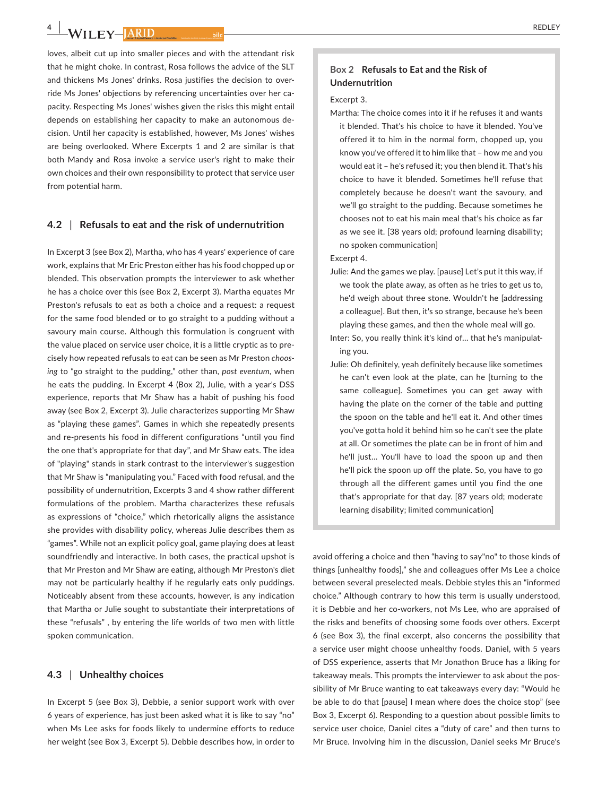**4** | **WILEY- ARID** 

loves, albeit cut up into smaller pieces and with the attendant risk that he might choke. In contrast, Rosa follows the advice of the SLT and thickens Ms Jones' drinks. Rosa justifies the decision to override Ms Jones' objections by referencing uncertainties over her capacity. Respecting Ms Jones' wishes given the risks this might entail depends on establishing her capacity to make an autonomous decision. Until her capacity is established, however, Ms Jones' wishes are being overlooked. Where Excerpts 1 and 2 are similar is that both Mandy and Rosa invoke a service user's right to make their own choices and their own responsibility to protect that service user from potential harm.

#### **4.2** | **Refusals to eat and the risk of undernutrition**

In Excerpt 3 (see Box 2), Martha, who has 4 years' experience of care work, explains that Mr Eric Preston either has his food chopped up or blended. This observation prompts the interviewer to ask whether he has a choice over this (see Box 2, Excerpt 3). Martha equates Mr Preston's refusals to eat as both a choice and a request: a request for the same food blended or to go straight to a pudding without a savoury main course. Although this formulation is congruent with the value placed on service user choice, it is a little cryptic as to precisely how repeated refusals to eat can be seen as Mr Preston *choosing* to "go straight to the pudding," other than, *post eventum,* when he eats the pudding. In Excerpt 4 (Box 2), Julie, with a year's DSS experience, reports that Mr Shaw has a habit of pushing his food away (see Box 2, Excerpt 3). Julie characterizes supporting Mr Shaw as "playing these games". Games in which she repeatedly presents and re-presents his food in different configurations "until you find the one that's appropriate for that day", and Mr Shaw eats. The idea of "playing" stands in stark contrast to the interviewer's suggestion that Mr Shaw is "manipulating you." Faced with food refusal, and the possibility of undernutrition, Excerpts 3 and 4 show rather different formulations of the problem. Martha characterizes these refusals as expressions of "choice," which rhetorically aligns the assistance she provides with disability policy, whereas Julie describes them as "games". While not an explicit policy goal, game playing does at least soundfriendly and interactive. In both cases, the practical upshot is that Mr Preston and Mr Shaw are eating, although Mr Preston's diet may not be particularly healthy if he regularly eats only puddings. Noticeably absent from these accounts, however, is any indication that Martha or Julie sought to substantiate their interpretations of these "refusals" , by entering the life worlds of two men with little spoken communication.

#### **4.3** | **Unhealthy choices**

In Excerpt 5 (see Box 3), Debbie, a senior support work with over 6 years of experience, has just been asked what it is like to say "no" when Ms Lee asks for foods likely to undermine efforts to reduce her weight (see Box 3, Excerpt 5). Debbie describes how, in order to

#### **Box 2 Refusals to Eat and the Risk of Undernutrition**

#### Excerpt 3.

Martha: The choice comes into it if he refuses it and wants it blended. That's his choice to have it blended. You've offered it to him in the normal form, chopped up, you know you've offered it to him like that – how me and you would eat it – he's refused it; you then blend it. That's his choice to have it blended. Sometimes he'll refuse that completely because he doesn't want the savoury, and we'll go straight to the pudding. Because sometimes he chooses not to eat his main meal that's his choice as far as we see it. [38 years old; profound learning disability; no spoken communication]

Excerpt 4.

- Julie: And the games we play. [pause] Let's put it this way, if we took the plate away, as often as he tries to get us to, he'd weigh about three stone. Wouldn't he [addressing a colleague]. But then, it's so strange, because he's been playing these games, and then the whole meal will go.
- Inter: So, you really think it's kind of… that he's manipulating you.
- Julie: Oh definitely, yeah definitely because like sometimes he can't even look at the plate, can he [turning to the same colleague]. Sometimes you can get away with having the plate on the corner of the table and putting the spoon on the table and he'll eat it. And other times you've gotta hold it behind him so he can't see the plate at all. Or sometimes the plate can be in front of him and he'll just… You'll have to load the spoon up and then he'll pick the spoon up off the plate. So, you have to go through all the different games until you find the one that's appropriate for that day. [87 years old; moderate learning disability; limited communication]

avoid offering a choice and then "having to say"no" to those kinds of things [unhealthy foods]," she and colleagues offer Ms Lee a choice between several preselected meals. Debbie styles this an "informed choice." Although contrary to how this term is usually understood, it is Debbie and her co-workers, not Ms Lee, who are appraised of the risks and benefits of choosing some foods over others. Excerpt 6 (see Box 3), the final excerpt, also concerns the possibility that a service user might choose unhealthy foods. Daniel, with 5 years of DSS experience, asserts that Mr Jonathon Bruce has a liking for takeaway meals. This prompts the interviewer to ask about the possibility of Mr Bruce wanting to eat takeaways every day: "Would he be able to do that [pause] I mean where does the choice stop" (see Box 3, Excerpt 6). Responding to a question about possible limits to service user choice, Daniel cites a "duty of care" and then turns to Mr Bruce. Involving him in the discussion, Daniel seeks Mr Bruce's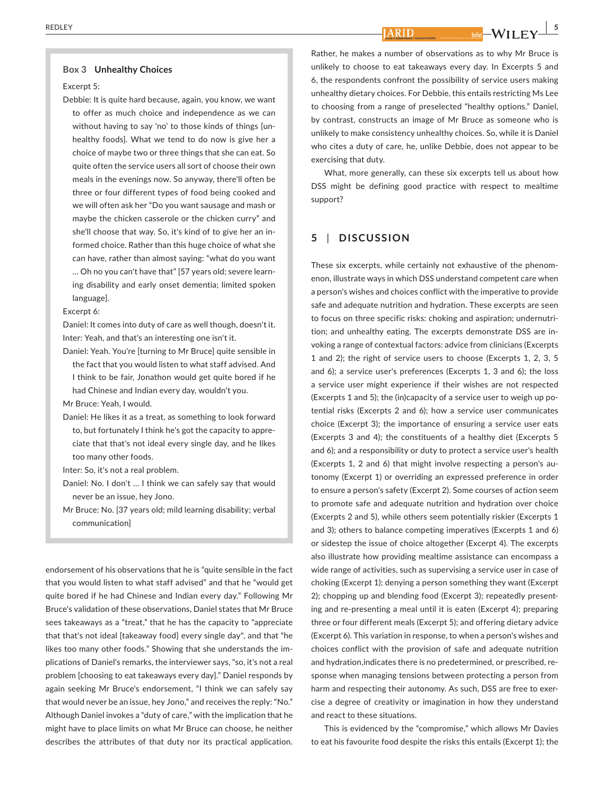**ARID** 

#### **Box 3 Unhealthy Choices**

#### Excerpt 5:

Debbie: It is quite hard because, again, you know, we want to offer as much choice and independence as we can without having to say 'no' to those kinds of things [unhealthy foods]. What we tend to do now is give her a choice of maybe two or three things that she can eat. So quite often the service users all sort of choose their own meals in the evenings now. So anyway, there'll often be three or four different types of food being cooked and we will often ask her "Do you want sausage and mash or maybe the chicken casserole or the chicken curry" and she'll choose that way. So, it's kind of to give her an informed choice. Rather than this huge choice of what she can have, rather than almost saying: "what do you want … Oh no you can't have that" [57 years old; severe learning disability and early onset dementia; limited spoken language].

#### Excerpt 6:

Daniel: It comes into duty of care as well though, doesn't it. Inter: Yeah, and that's an interesting one isn't it.

Daniel: Yeah. You're [turning to Mr Bruce] quite sensible in the fact that you would listen to what staff advised. And I think to be fair, Jonathon would get quite bored if he had Chinese and Indian every day, wouldn't you.

Mr Bruce: Yeah, I would.

Daniel: He likes it as a treat, as something to look forward to, but fortunately I think he's got the capacity to appreciate that that's not ideal every single day, and he likes too many other foods.

Inter: So, it's not a real problem.

- Daniel: No. I don't … I think we can safely say that would never be an issue, hey Jono.
- Mr Bruce: No. [37 years old; mild learning disability; verbal communication]

endorsement of his observations that he is "quite sensible in the fact that you would listen to what staff advised" and that he "would get quite bored if he had Chinese and Indian every day." Following Mr Bruce's validation of these observations, Daniel states that Mr Bruce sees takeaways as a "treat," that he has the capacity to "appreciate that that's not ideal [takeaway food] every single day", and that "he likes too many other foods." Showing that she understands the implications of Daniel's remarks, the interviewer says, "so, it's not a real problem [choosing to eat takeaways every day]." Daniel responds by again seeking Mr Bruce's endorsement, "I think we can safely say that would never be an issue, hey Jono," and receives the reply: "No." Although Daniel invokes a "duty of care," with the implication that he might have to place limits on what Mr Bruce can choose, he neither describes the attributes of that duty nor its practical application. Rather, he makes a number of observations as to why Mr Bruce is unlikely to choose to eat takeaways every day. In Excerpts 5 and 6, the respondents confront the possibility of service users making unhealthy dietary choices. For Debbie, this entails restricting Ms Lee to choosing from a range of preselected "healthy options." Daniel, by contrast, constructs an image of Mr Bruce as someone who is unlikely to make consistency unhealthy choices. So, while it is Daniel who cites a duty of care, he, unlike Debbie, does not appear to be exercising that duty.

What, more generally, can these six excerpts tell us about how DSS might be defining good practice with respect to mealtime support?

### **5** | **DISCUSSION**

These six excerpts, while certainly not exhaustive of the phenomenon, illustrate ways in which DSS understand competent care when a person's wishes and choices conflict with the imperative to provide safe and adequate nutrition and hydration. These excerpts are seen to focus on three specific risks: choking and aspiration; undernutrition; and unhealthy eating. The excerpts demonstrate DSS are invoking a range of contextual factors: advice from clinicians (Excerpts 1 and 2); the right of service users to choose (Excerpts 1, 2, 3, 5 and 6); a service user's preferences (Excerpts 1, 3 and 6); the loss a service user might experience if their wishes are not respected (Excerpts 1 and 5); the (in)capacity of a service user to weigh up potential risks (Excerpts 2 and 6); how a service user communicates choice (Excerpt 3); the importance of ensuring a service user eats (Excerpts 3 and 4); the constituents of a healthy diet (Excerpts 5 and 6); and a responsibility or duty to protect a service user's health (Excerpts 1, 2 and 6) that might involve respecting a person's autonomy (Excerpt 1) or overriding an expressed preference in order to ensure a person's safety (Excerpt 2). Some courses of action seem to promote safe and adequate nutrition and hydration over choice (Excerpts 2 and 5), while others seem potentially riskier (Excerpts 1 and 3); others to balance competing imperatives (Excerpts 1 and 6) or sidestep the issue of choice altogether (Excerpt 4). The excerpts also illustrate how providing mealtime assistance can encompass a wide range of activities, such as supervising a service user in case of choking (Excerpt 1); denying a person something they want (Excerpt 2); chopping up and blending food (Excerpt 3); repeatedly presenting and re-presenting a meal until it is eaten (Excerpt 4); preparing three or four different meals (Excerpt 5); and offering dietary advice (Excerpt 6). This variation in response, to when a person's wishes and choices conflict with the provision of safe and adequate nutrition and hydration,indicates there is no predetermined, or prescribed, response when managing tensions between protecting a person from harm and respecting their autonomy. As such, DSS are free to exercise a degree of creativity or imagination in how they understand and react to these situations.

This is evidenced by the "compromise," which allows Mr Davies to eat his favourite food despite the risks this entails (Excerpt 1); the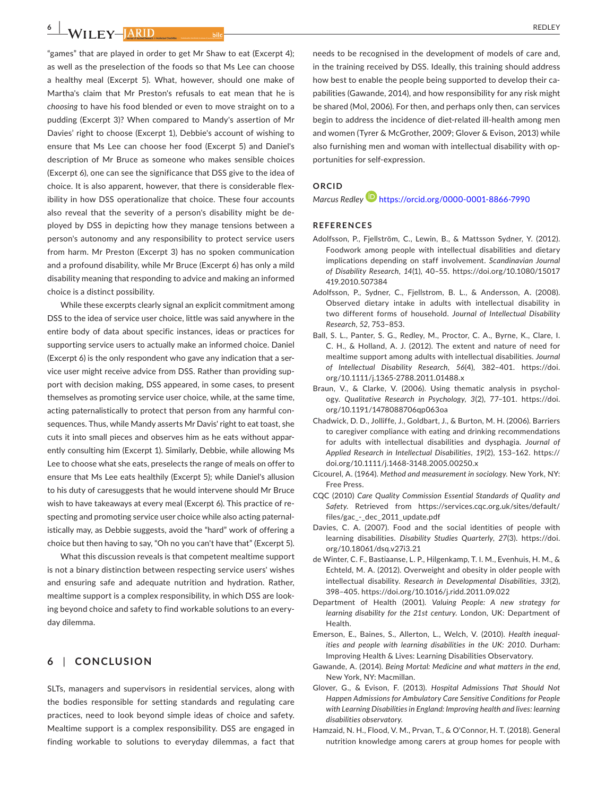# **6** | **WILEY** | **ARID**

"games" that are played in order to get Mr Shaw to eat (Excerpt 4); as well as the preselection of the foods so that Ms Lee can choose a healthy meal (Excerpt 5). What, however, should one make of Martha's claim that Mr Preston's refusals to eat mean that he is *choosing* to have his food blended or even to move straight on to a pudding (Excerpt 3)? When compared to Mandy's assertion of Mr Davies' right to choose (Excerpt 1), Debbie's account of wishing to ensure that Ms Lee can choose her food (Excerpt 5) and Daniel's description of Mr Bruce as someone who makes sensible choices (Excerpt 6), one can see the significance that DSS give to the idea of choice. It is also apparent, however, that there is considerable flexibility in how DSS operationalize that choice. These four accounts also reveal that the severity of a person's disability might be deployed by DSS in depicting how they manage tensions between a person's autonomy and any responsibility to protect service users from harm. Mr Preston (Excerpt 3) has no spoken communication and a profound disability, while Mr Bruce (Excerpt 6) has only a mild disability meaning that responding to advice and making an informed choice is a distinct possibility.

While these excerpts clearly signal an explicit commitment among DSS to the idea of service user choice, little was said anywhere in the entire body of data about specific instances, ideas or practices for supporting service users to actually make an informed choice. Daniel (Excerpt 6) is the only respondent who gave any indication that a service user might receive advice from DSS. Rather than providing support with decision making, DSS appeared, in some cases, to present themselves as promoting service user choice, while, at the same time, acting paternalistically to protect that person from any harmful consequences. Thus, while Mandy asserts Mr Davis' right to eat toast, she cuts it into small pieces and observes him as he eats without apparently consulting him (Excerpt 1). Similarly, Debbie, while allowing Ms Lee to choose what she eats, preselects the range of meals on offer to ensure that Ms Lee eats healthily (Excerpt 5); while Daniel's allusion to his duty of caresuggests that he would intervene should Mr Bruce wish to have takeaways at every meal (Excerpt 6). This practice of respecting and promoting service user choice while also acting paternalistically may, as Debbie suggests, avoid the "hard" work of offering a choice but then having to say, "Oh no you can't have that" (Excerpt 5).

What this discussion reveals is that competent mealtime support is not a binary distinction between respecting service users' wishes and ensuring safe and adequate nutrition and hydration. Rather, mealtime support is a complex responsibility, in which DSS are looking beyond choice and safety to find workable solutions to an everyday dilemma.

## **6** | **CONCLUSION**

SLTs, managers and supervisors in residential services, along with the bodies responsible for setting standards and regulating care practices, need to look beyond simple ideas of choice and safety. Mealtime support is a complex responsibility. DSS are engaged in finding workable to solutions to everyday dilemmas, a fact that

needs to be recognised in the development of models of care and, in the training received by DSS. Ideally, this training should address how best to enable the people being supported to develop their capabilities (Gawande, 2014), and how responsibility for any risk might be shared (Mol, 2006). For then, and perhaps only then, can services begin to address the incidence of diet-related ill-health among men and women (Tyrer & McGrother, 2009; Glover & Evison, 2013) while also furnishing men and woman with intellectual disability with opportunities for self-expression.

#### **ORCID**

*Marcus Redley* <https://orcid.org/0000-0001-8866-7990>

#### **REFERENCES**

- Adolfsson, P., Fjellström, C., Lewin, B., & Mattsson Sydner, Y. (2012). Foodwork among people with intellectual disabilities and dietary implications depending on staff involvement. *Scandinavian Journal of Disability Research*, *14*(1), 40–55. [https://doi.org/10.1080/15017](https://doi.org/10.1080/15017419.2010.507384) [419.2010.507384](https://doi.org/10.1080/15017419.2010.507384)
- Adolfsson, P., Sydner, C., Fjellstrom, B. L., & Andersson, A. (2008). Observed dietary intake in adults with intellectual disability in two different forms of household. *Journal of Intellectual Disability Research*, *52*, 753–853.
- Ball, S. L., Panter, S. G., Redley, M., Proctor, C. A., Byrne, K., Clare, I. C. H., & Holland, A. J. (2012). The extent and nature of need for mealtime support among adults with intellectual disabilities. *Journal of Intellectual Disability Research*, *56*(4), 382–401. [https://doi.](https://doi.org/10.1111/j.1365-2788.2011.01488.x) [org/10.1111/j.1365-2788.2011.01488.x](https://doi.org/10.1111/j.1365-2788.2011.01488.x)
- Braun, V., & Clarke, V. (2006). Using thematic analysis in psychology. *Qualitative Research in Psychology*, *3*(2), 77–101. [https://doi.](https://doi.org/10.1191/1478088706qp063oa) [org/10.1191/1478088706qp063oa](https://doi.org/10.1191/1478088706qp063oa)
- Chadwick, D. D., Jolliffe, J., Goldbart, J., & Burton, M. H. (2006). Barriers to caregiver compliance with eating and drinking recommendations for adults with intellectual disabilities and dysphagia. *Journal of Applied Research in Intellectual Disabilities*, *19*(2), 153–162. [https://](https://doi.org/10.1111/j.1468-3148.2005.00250.x) [doi.org/10.1111/j.1468-3148.2005.00250.x](https://doi.org/10.1111/j.1468-3148.2005.00250.x)
- Cicourel, A. (1964). *Method and measurement in sociology*. New York, NY: Free Press.
- CQC (2010) *Care Quality Commission Essential Standards of Quality and Safety*. Retrieved from [https://services.cqc.org.uk/sites/default/](https://services.cqc.org.uk/sites/default/files/gac_-_dec_2011_update.pdf) [files/gac\\_-\\_dec\\_2011\\_update.pdf](https://services.cqc.org.uk/sites/default/files/gac_-_dec_2011_update.pdf)
- Davies, C. A. (2007). Food and the social identities of people with learning disabilities. *Disability Studies Quarterly*, *27*(3). [https://doi.](https://doi.org/10.18061/dsq.v27i3.21) [org/10.18061/dsq.v27i3.21](https://doi.org/10.18061/dsq.v27i3.21)
- de Winter, C. F., Bastiaanse, L. P., Hilgenkamp, T. I. M., Evenhuis, H. M., & Echteld, M. A. (2012). Overweight and obesity in older people with intellectual disability. *Research in Developmental Disabilities*, *33*(2), 398–405.<https://doi.org/10.1016/j.ridd.2011.09.022>
- Department of Health (2001). *Valuing People: A new strategy for learning disability for the 21st century*. London, UK: Department of Health.
- Emerson, E., Baines, S., Allerton, L., Welch, V. (2010). *Health inequalities and people with learning disabilities in the UK: 2010*. Durham: Improving Health & Lives: Learning Disabilities Observatory.
- Gawande, A. (2014). *Being Mortal: Medicine and what matters in the end*, New York, NY: Macmillan.
- Glover, G., & Evison, F. (2013). *Hospital Admissions That Should Not Happen Admissions for Ambulatory Care Sensitive Conditions for People with Learning Disabilities in England: Improving health and lives: learning disabilities observatory*.
- Hamzaid, N. H., Flood, V. M., Prvan, T., & O'Connor, H. T. (2018). General nutrition knowledge among carers at group homes for people with